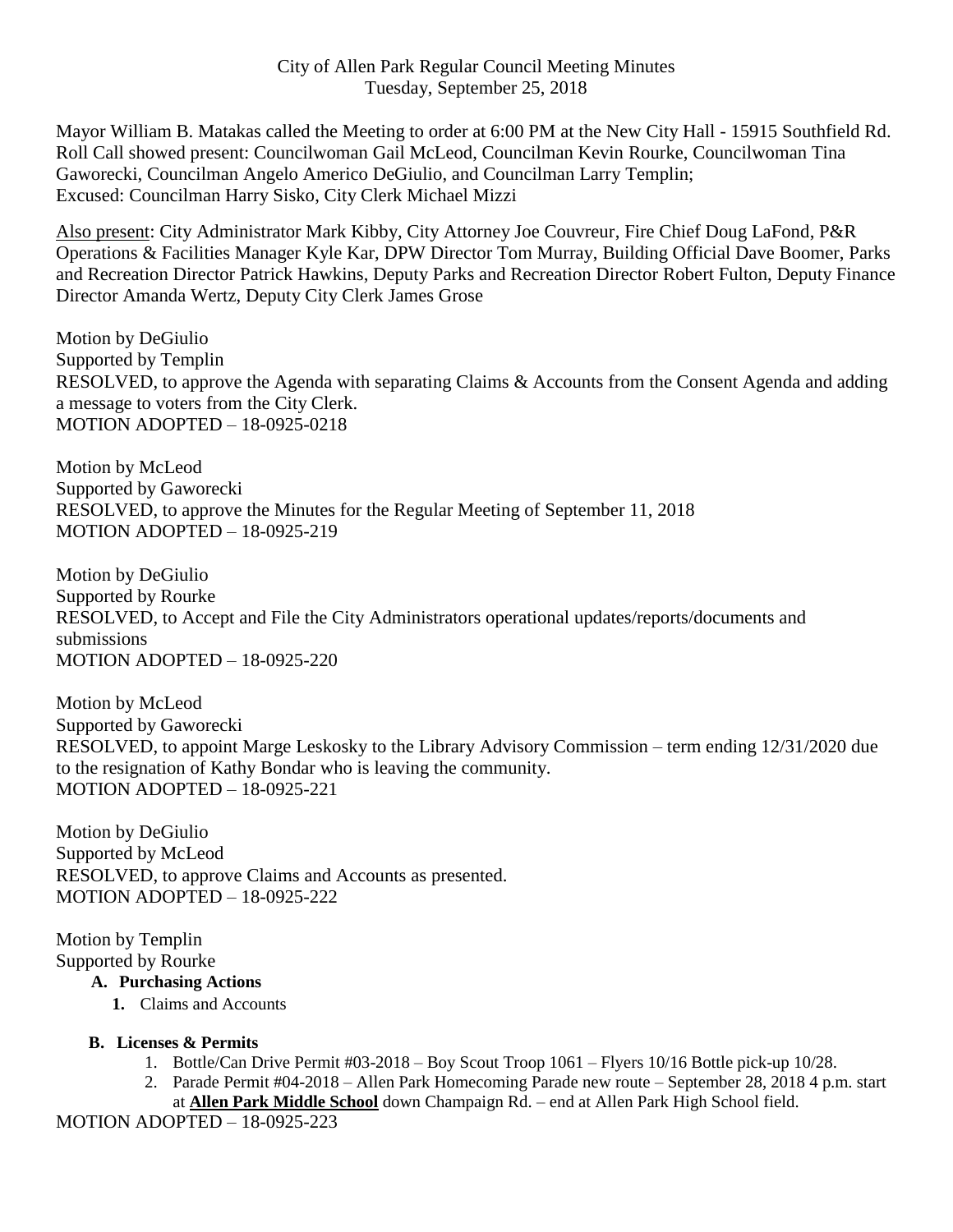Mayor William B. Matakas called the Meeting to order at 6:00 PM at the New City Hall - 15915 Southfield Rd. Roll Call showed present: Councilwoman Gail McLeod, Councilman Kevin Rourke, Councilwoman Tina Gaworecki, Councilman Angelo Americo DeGiulio, and Councilman Larry Templin; Excused: Councilman Harry Sisko, City Clerk Michael Mizzi

Also present: City Administrator Mark Kibby, City Attorney Joe Couvreur, Fire Chief Doug LaFond, P&R Operations & Facilities Manager Kyle Kar, DPW Director Tom Murray, Building Official Dave Boomer, Parks and Recreation Director Patrick Hawkins, Deputy Parks and Recreation Director Robert Fulton, Deputy Finance Director Amanda Wertz, Deputy City Clerk James Grose

Motion by DeGiulio Supported by Templin RESOLVED, to approve the Agenda with separating Claims & Accounts from the Consent Agenda and adding a message to voters from the City Clerk. MOTION ADOPTED – 18-0925-0218

Motion by McLeod Supported by Gaworecki RESOLVED, to approve the Minutes for the Regular Meeting of September 11, 2018 MOTION ADOPTED – 18-0925-219

Motion by DeGiulio Supported by Rourke RESOLVED, to Accept and File the City Administrators operational updates/reports/documents and submissions MOTION ADOPTED – 18-0925-220

Motion by McLeod Supported by Gaworecki RESOLVED, to appoint Marge Leskosky to the Library Advisory Commission – term ending 12/31/2020 due to the resignation of Kathy Bondar who is leaving the community. MOTION ADOPTED – 18-0925-221

Motion by DeGiulio Supported by McLeod RESOLVED, to approve Claims and Accounts as presented. MOTION ADOPTED – 18-0925-222

Motion by Templin Supported by Rourke

## **A. Purchasing Actions**

**1.** Claims and Accounts

## **B. Licenses & Permits**

- 1. Bottle/Can Drive Permit #03-2018 Boy Scout Troop 1061 Flyers 10/16 Bottle pick-up 10/28.
- 2. Parade Permit #04-2018 Allen Park Homecoming Parade new route September 28, 2018 4 p.m. start at **Allen Park Middle School** down Champaign Rd. – end at Allen Park High School field.

MOTION ADOPTED – 18-0925-223